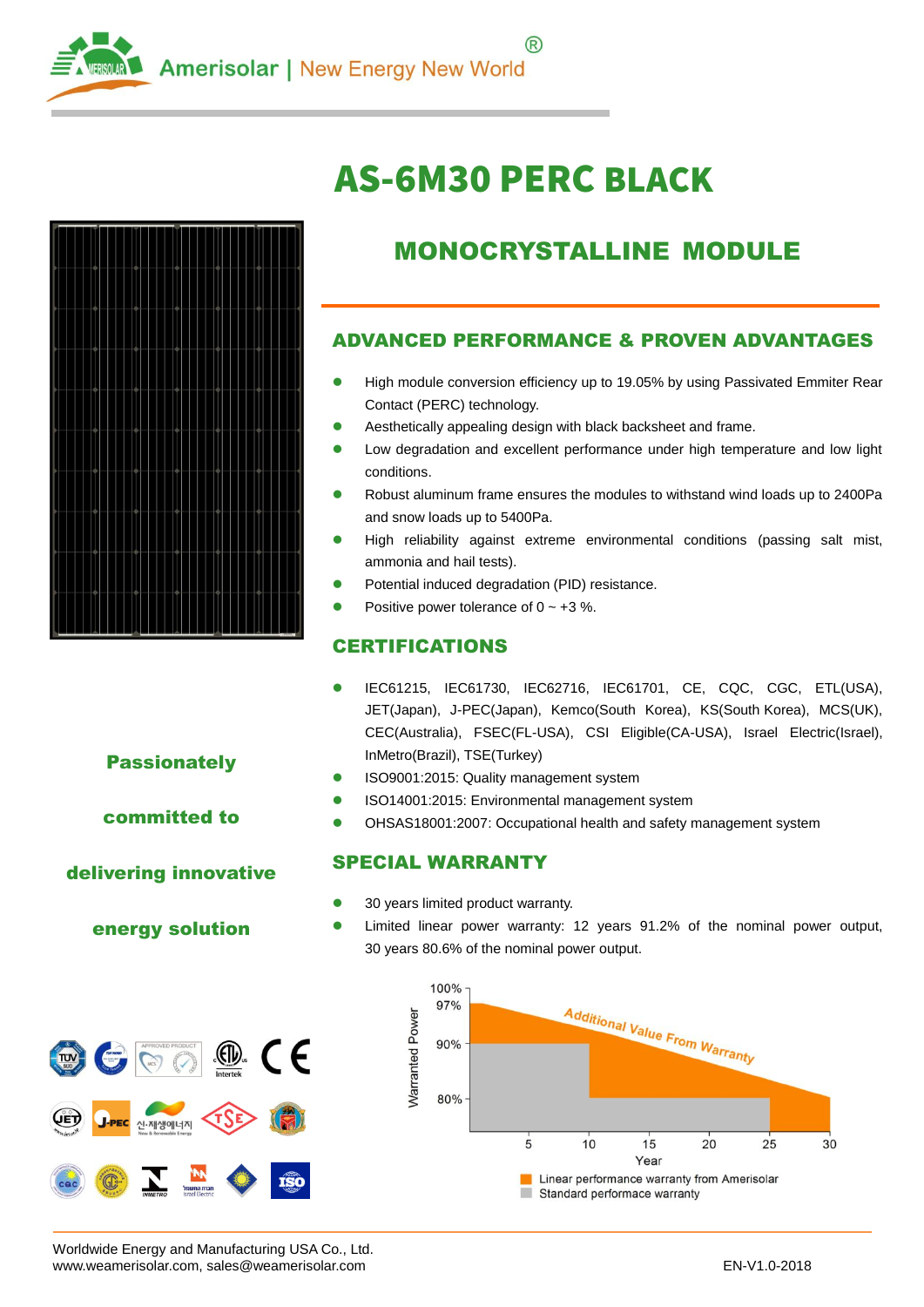

# AS-6M30 PERC BLACK



## MONOCRYSTALLINE MODULE

#### ADVANCED PERFORMANCE & PROVEN ADVANTAGES

- High module conversion efficiency up to 19.05% by using Passivated Emmiter Rear Contact (PERC) technology.
- Aesthetically appealing design with black backsheet and frame.
- **.** Low degradation and excellent performance under high temperature and low light conditions.
- Robust aluminum frame ensures the modules to withstand wind loads up to 2400Pa and snow loads up to 5400Pa.
- High reliability against extreme environmental conditions (passing salt mist, ammonia and hail tests).
- Potential induced degradation (PID) resistance.
- Positive power tolerance of  $0 \sim +3$  %.

### CERTIFICATIONS

- IEC61215, IEC61730, IEC62716, IEC61701, CE, CQC, CGC, ETL(USA), JET(Japan), J-PEC(Japan), Kemco(South Korea), KS(South Korea), MCS(UK), CEC(Australia), FSEC(FL-USA), CSI Eligible(CA-USA), Israel Electric(Israel), InMetro(Brazil), TSE(Turkey)
- **ISO9001:2015: Quality management system**
- **ISO14001:2015: Environmental management system**
- OHSAS18001:2007: Occupational health and safety management system

#### SPECIAL WARRANTY

- 30 years limited product warranty.
- Limited linear power warranty: 12 years 91.2% of the nominal power output, 30 years 80.6% of the nominal power output.



**Passionately** 

committed to

#### delivering innovative

energy solution



Worldwide Energy and Manufacturing USA Co., Ltd. www.weamerisolar.com, sales@weamerisolar.com entertainments and the state of the EN-V1.0-2018